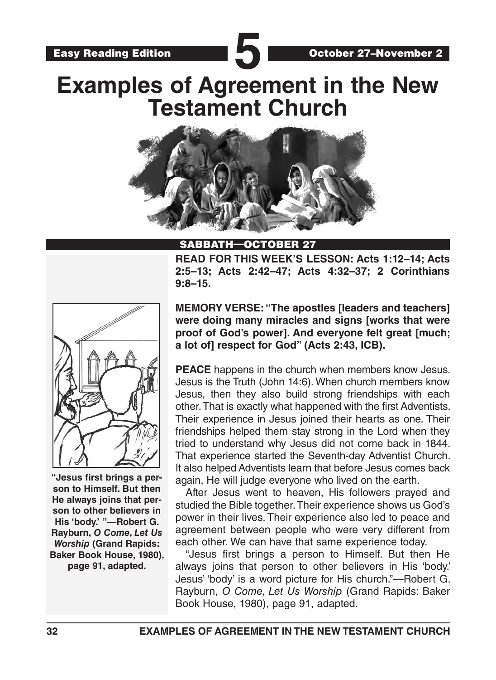

# **Examples of Agreement in the New Testament Church**



#### **OCTOBER**

**READ FOR THIS WEEK'S LESSON: Acts 1:12–14; Acts 2:5–13; Acts 2:42–47; Acts 4:32–37; 2 Corinthians 9:8–15.**



**"Jesus first brings a person to Himself. But then He always joins that person to other believers in His 'body.' "—Robert G. Rayburn,** *O Come, Let Us Worship* **(Grand Rapids: Baker Book House, 1980), page 91, adapted.** 

**MEMORY VERSE: "The apostles [leaders and teachers] were doing many miracles and signs [works that were proof of God's power]. And everyone felt great [much; a lot of] respect for God" (Acts 2:43, ICB).**

**PEACE** happens in the church when members know Jesus. Jesus is the Truth (John 14:6). When church members know Jesus, then they also build strong friendships with each other. That is exactly what happened with the first Adventists. Their experience in Jesus joined their hearts as one. Their friendships helped them stay strong in the Lord when they tried to understand why Jesus did not come back in 1844. That experience started the Seventh-day Adventist Church. It also helped Adventists learn that before Jesus comes back again, He will judge everyone who lived on the earth.

After Jesus went to heaven, His followers prayed and studied the Bible together. Their experience shows us God's power in their lives. Their experience also led to peace and agreement between people who were very different from each other. We can have that same experience today.

"Jesus first brings a person to Himself. But then He always joins that person to other believers in His 'body.' Jesus' 'body' is a word picture for His church."—Robert G. Rayburn, *O Come, Let Us Worship* (Grand Rapids: Baker Book House, 1980), page 91, adapted.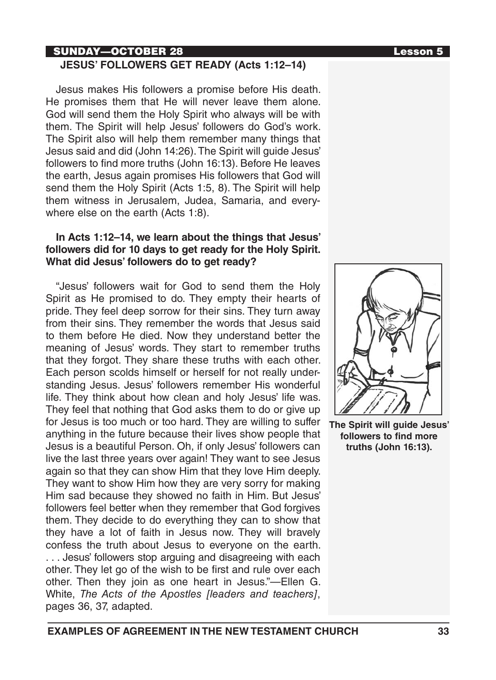# SUNDAY—OCTOBER 28 Lesson 5

#### **JESUS' FOLLOWERS GET READY (Acts 1:12–14)**

Jesus makes His followers a promise before His death. He promises them that He will never leave them alone. God will send them the Holy Spirit who always will be with them. The Spirit will help Jesus' followers do God's work. The Spirit also will help them remember many things that Jesus said and did (John 14:26). The Spirit will guide Jesus' followers to find more truths (John 16:13). Before He leaves the earth, Jesus again promises His followers that God will send them the Holy Spirit (Acts 1:5, 8). The Spirit will help them witness in Jerusalem, Judea, Samaria, and everywhere else on the earth (Acts 1:8).

#### **In Acts 1:12–14, we learn about the things that Jesus' followers did for 10 days to get ready for the Holy Spirit. What did Jesus' followers do to get ready?**

"Jesus' followers wait for God to send them the Holy Spirit as He promised to do. They empty their hearts of pride. They feel deep sorrow for their sins. They turn away from their sins. They remember the words that Jesus said to them before He died. Now they understand better the meaning of Jesus' words. They start to remember truths that they forgot. They share these truths with each other. Each person scolds himself or herself for not really understanding Jesus. Jesus' followers remember His wonderful life. They think about how clean and holy Jesus' life was. They feel that nothing that God asks them to do or give up for Jesus is too much or too hard. They are willing to suffer anything in the future because their lives show people that Jesus is a beautiful Person. Oh, if only Jesus' followers can live the last three years over again! They want to see Jesus again so that they can show Him that they love Him deeply. They want to show Him how they are very sorry for making Him sad because they showed no faith in Him. But Jesus' followers feel better when they remember that God forgives them. They decide to do everything they can to show that they have a lot of faith in Jesus now. They will bravely confess the truth about Jesus to everyone on the earth. . . . Jesus' followers stop arguing and disagreeing with each other. They let go of the wish to be first and rule over each other. Then they join as one heart in Jesus."—Ellen G. White, *The Acts of the Apostles [leaders and teachers]*, pages 36, 37, adapted.



**The Spirit will guide Jesus' followers to find more truths (John 16:13).**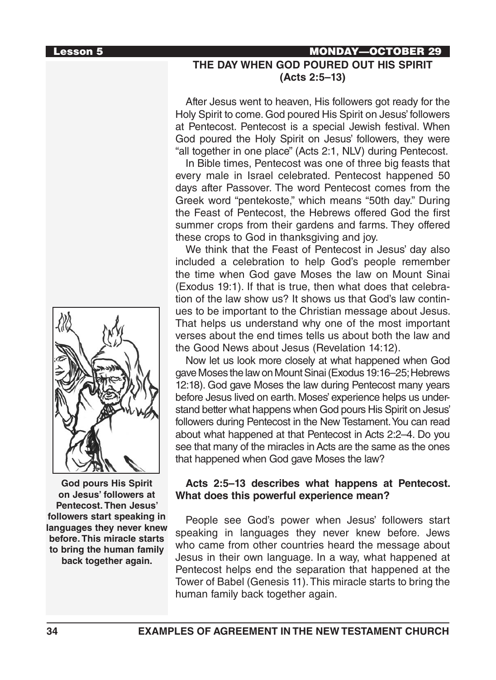

**God pours His Spirit on Jesus' followers at Pentecost. Then Jesus' followers start speaking in languages they never knew before. This miracle starts to bring the human family back together again.**

## Lesson 5 MONDAY—OCTOBER 29 **THE DAY WHEN GOD POURED OUT HIS SPIRIT (Acts 2:5–13)**

After Jesus went to heaven, His followers got ready for the Holy Spirit to come. God poured His Spirit on Jesus' followers at Pentecost. Pentecost is a special Jewish festival. When God poured the Holy Spirit on Jesus' followers, they were "all together in one place" (Acts 2:1, NLV) during Pentecost.

In Bible times, Pentecost was one of three big feasts that every male in Israel celebrated. Pentecost happened 50 days after Passover. The word Pentecost comes from the Greek word "pentekoste," which means "50th day." During the Feast of Pentecost, the Hebrews offered God the first summer crops from their gardens and farms. They offered these crops to God in thanksgiving and joy.

We think that the Feast of Pentecost in Jesus' day also included a celebration to help God's people remember the time when God gave Moses the law on Mount Sinai (Exodus 19:1). If that is true, then what does that celebration of the law show us? It shows us that God's law continues to be important to the Christian message about Jesus. That helps us understand why one of the most important verses about the end times tells us about both the law and the Good News about Jesus (Revelation 14:12).

Now let us look more closely at what happened when God gave Moses the law on Mount Sinai (Exodus 19:16–25; Hebrews 12:18). God gave Moses the law during Pentecost many years before Jesus lived on earth. Moses' experience helps us understand better what happens when God pours His Spirit on Jesus' followers during Pentecost in the New Testament. You can read about what happened at that Pentecost in Acts 2:2–4. Do you see that many of the miracles in Acts are the same as the ones that happened when God gave Moses the law?

#### **Acts 2:5–13 describes what happens at Pentecost. What does this powerful experience mean?**

People see God's power when Jesus' followers start speaking in languages they never knew before. Jews who came from other countries heard the message about Jesus in their own language. In a way, what happened at Pentecost helps end the separation that happened at the Tower of Babel (Genesis 11). This miracle starts to bring the human family back together again.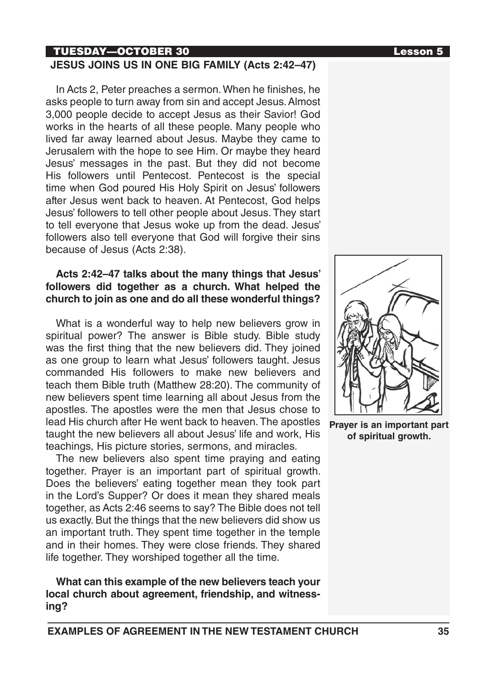### TUESDAY—OCTOBER 30 Lesson 5

#### **JESUS JOINS US IN ONE BIG FAMILY (Acts 2:42–47)**

In Acts 2, Peter preaches a sermon. When he finishes, he asks people to turn away from sin and accept Jesus. Almost 3,000 people decide to accept Jesus as their Savior! God works in the hearts of all these people. Many people who lived far away learned about Jesus. Maybe they came to Jerusalem with the hope to see Him. Or maybe they heard Jesus' messages in the past. But they did not become His followers until Pentecost. Pentecost is the special time when God poured His Holy Spirit on Jesus' followers after Jesus went back to heaven. At Pentecost, God helps Jesus' followers to tell other people about Jesus. They start to tell everyone that Jesus woke up from the dead. Jesus' followers also tell everyone that God will forgive their sins because of Jesus (Acts 2:38).

#### **Acts 2:42–47 talks about the many things that Jesus' followers did together as a church. What helped the church to join as one and do all these wonderful things?**

What is a wonderful way to help new believers grow in spiritual power? The answer is Bible study. Bible study was the first thing that the new believers did. They joined as one group to learn what Jesus' followers taught. Jesus commanded His followers to make new believers and teach them Bible truth (Matthew 28:20). The community of new believers spent time learning all about Jesus from the apostles. The apostles were the men that Jesus chose to lead His church after He went back to heaven. The apostles taught the new believers all about Jesus' life and work, His teachings, His picture stories, sermons, and miracles.

The new believers also spent time praying and eating together. Prayer is an important part of spiritual growth. Does the believers' eating together mean they took part in the Lord's Supper? Or does it mean they shared meals together, as Acts 2:46 seems to say? The Bible does not tell us exactly. But the things that the new believers did show us an important truth. They spent time together in the temple and in their homes. They were close friends. They shared life together. They worshiped together all the time.

**What can this example of the new believers teach your local church about agreement, friendship, and witnessing?** 



**Prayer is an important part of spiritual growth.**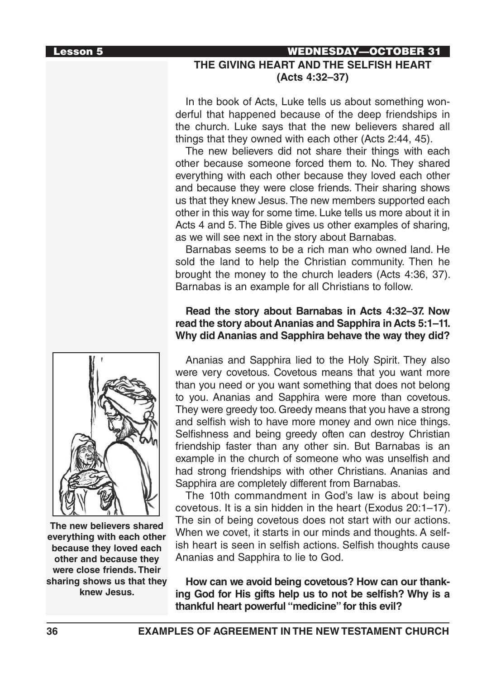### Lesson 5 WEDNESDAY—OCTOBER 31 **THE GIVING HEART AND THE SELFISH HEART (Acts 4:32–37)**

In the book of Acts, Luke tells us about something wonderful that happened because of the deep friendships in the church. Luke says that the new believers shared all things that they owned with each other (Acts 2:44, 45).

The new believers did not share their things with each other because someone forced them to. No. They shared everything with each other because they loved each other and because they were close friends. Their sharing shows us that they knew Jesus. The new members supported each other in this way for some time. Luke tells us more about it in Acts 4 and 5. The Bible gives us other examples of sharing, as we will see next in the story about Barnabas.

Barnabas seems to be a rich man who owned land. He sold the land to help the Christian community. Then he brought the money to the church leaders (Acts 4:36, 37). Barnabas is an example for all Christians to follow.

#### **Read the story about Barnabas in Acts 4:32–37. Now read the story about Ananias and Sapphira in Acts 5:1–11. Why did Ananias and Sapphira behave the way they did?**

Ananias and Sapphira lied to the Holy Spirit. They also were very covetous. Covetous means that you want more than you need or you want something that does not belong to you. Ananias and Sapphira were more than covetous. They were greedy too. Greedy means that you have a strong and selfish wish to have more money and own nice things. Selfishness and being greedy often can destroy Christian friendship faster than any other sin. But Barnabas is an example in the church of someone who was unselfish and had strong friendships with other Christians. Ananias and Sapphira are completely different from Barnabas.

The 10th commandment in God's law is about being covetous. It is a sin hidden in the heart (Exodus 20:1–17). The sin of being covetous does not start with our actions. When we covet, it starts in our minds and thoughts. A selfish heart is seen in selfish actions. Selfish thoughts cause Ananias and Sapphira to lie to God.

**How can we avoid being covetous? How can our thanking God for His gifts help us to not be selfish? Why is a thankful heart powerful "medicine" for this evil?**



**The new believers shared everything with each other because they loved each other and because they were close friends. Their sharing shows us that they knew Jesus.**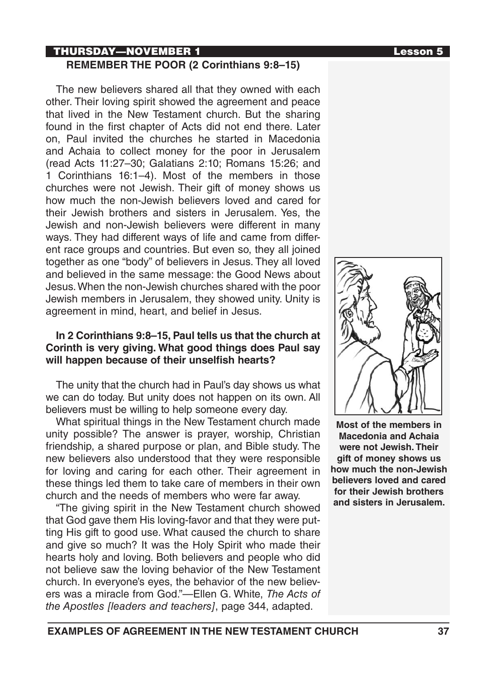#### **THURSDAY—NOVEMBER 1** and the contract of the contract of the contract of the contract of the contract of the contract of the contract of the contract of the contract of the contract of the contract of the contract of the **REMEMBER THE POOR (2 Corinthians 9:8–15)**

The new believers shared all that they owned with each other. Their loving spirit showed the agreement and peace that lived in the New Testament church. But the sharing found in the first chapter of Acts did not end there. Later on, Paul invited the churches he started in Macedonia and Achaia to collect money for the poor in Jerusalem (read Acts 11:27–30; Galatians 2:10; Romans 15:26; and 1 Corinthians 16:1–4). Most of the members in those churches were not Jewish. Their gift of money shows us how much the non-Jewish believers loved and cared for their Jewish brothers and sisters in Jerusalem. Yes, the Jewish and non-Jewish believers were different in many ways. They had different ways of life and came from different race groups and countries. But even so, they all joined together as one "body" of believers in Jesus. They all loved and believed in the same message: the Good News about Jesus. When the non-Jewish churches shared with the poor Jewish members in Jerusalem, they showed unity. Unity is agreement in mind, heart, and belief in Jesus.

#### **In 2 Corinthians 9:8–15, Paul tells us that the church at Corinth is very giving. What good things does Paul say will happen because of their unselfish hearts?**

The unity that the church had in Paul's day shows us what we can do today. But unity does not happen on its own. All believers must be willing to help someone every day.

What spiritual things in the New Testament church made unity possible? The answer is prayer, worship, Christian friendship, a shared purpose or plan, and Bible study. The new believers also understood that they were responsible for loving and caring for each other. Their agreement in these things led them to take care of members in their own church and the needs of members who were far away.

"The giving spirit in the New Testament church showed that God gave them His loving-favor and that they were putting His gift to good use. What caused the church to share and give so much? It was the Holy Spirit who made their hearts holy and loving. Both believers and people who did not believe saw the loving behavior of the New Testament church. In everyone's eyes, the behavior of the new believers was a miracle from God."—Ellen G. White, *The Acts of the Apostles [leaders and teachers]*, page 344, adapted.



**Most of the members in Macedonia and Achaia were not Jewish. Their gift of money shows us how much the non-Jewish believers loved and cared for their Jewish brothers and sisters in Jerusalem.**